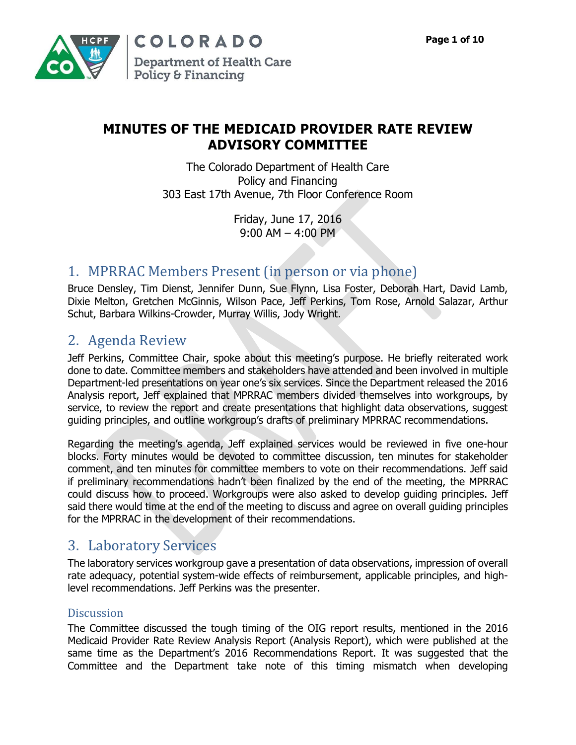

## **MINUTES OF THE MEDICAID PROVIDER RATE REVIEW ADVISORY COMMITTEE**

The Colorado Department of Health Care Policy and Financing 303 East 17th Avenue, 7th Floor Conference Room

> Friday, June 17, 2016 9:00 AM – 4:00 PM

# 1. MPRRAC Members Present (in person or via phone)

Bruce Densley, Tim Dienst, Jennifer Dunn, Sue Flynn, Lisa Foster, Deborah Hart, David Lamb, Dixie Melton, Gretchen McGinnis, Wilson Pace, Jeff Perkins, Tom Rose, Arnold Salazar, Arthur Schut, Barbara Wilkins-Crowder, Murray Willis, Jody Wright.

# 2. Agenda Review

Jeff Perkins, Committee Chair, spoke about this meeting's purpose. He briefly reiterated work done to date. Committee members and stakeholders have attended and been involved in multiple Department-led presentations on year one's six services. Since the Department released the 2016 Analysis report, Jeff explained that MPRRAC members divided themselves into workgroups, by service, to review the report and create presentations that highlight data observations, suggest guiding principles, and outline workgroup's drafts of preliminary MPRRAC recommendations.

Regarding the meeting's agenda, Jeff explained services would be reviewed in five one-hour blocks. Forty minutes would be devoted to committee discussion, ten minutes for stakeholder comment, and ten minutes for committee members to vote on their recommendations. Jeff said if preliminary recommendations hadn't been finalized by the end of the meeting, the MPRRAC could discuss how to proceed. Workgroups were also asked to develop guiding principles. Jeff said there would time at the end of the meeting to discuss and agree on overall guiding principles for the MPRRAC in the development of their recommendations.

## 3. Laboratory Services

The laboratory services workgroup gave a presentation of data observations, impression of overall rate adequacy, potential system-wide effects of reimbursement, applicable principles, and highlevel recommendations. Jeff Perkins was the presenter.

### **Discussion**

The Committee discussed the tough timing of the OIG report results, mentioned in the 2016 Medicaid Provider Rate Review Analysis Report (Analysis Report), which were published at the same time as the Department's 2016 Recommendations Report. It was suggested that the Committee and the Department take note of this timing mismatch when developing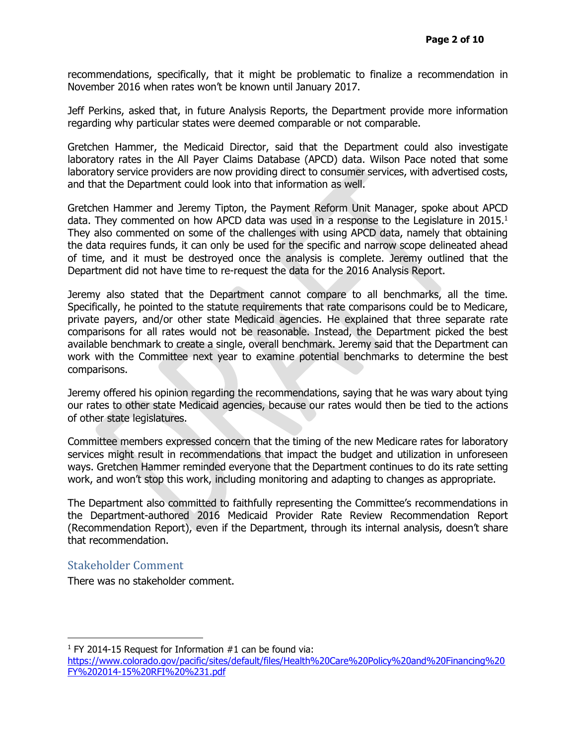recommendations, specifically, that it might be problematic to finalize a recommendation in November 2016 when rates won't be known until January 2017.

Jeff Perkins, asked that, in future Analysis Reports, the Department provide more information regarding why particular states were deemed comparable or not comparable.

Gretchen Hammer, the Medicaid Director, said that the Department could also investigate laboratory rates in the All Payer Claims Database (APCD) data. Wilson Pace noted that some laboratory service providers are now providing direct to consumer services, with advertised costs, and that the Department could look into that information as well.

Gretchen Hammer and Jeremy Tipton, the Payment Reform Unit Manager, spoke about APCD data. They commented on how APCD data was used in a response to the Legislature in  $2015.<sup>1</sup>$ They also commented on some of the challenges with using APCD data, namely that obtaining the data requires funds, it can only be used for the specific and narrow scope delineated ahead of time, and it must be destroyed once the analysis is complete. Jeremy outlined that the Department did not have time to re-request the data for the 2016 Analysis Report.

Jeremy also stated that the Department cannot compare to all benchmarks, all the time. Specifically, he pointed to the statute requirements that rate comparisons could be to Medicare, private payers, and/or other state Medicaid agencies. He explained that three separate rate comparisons for all rates would not be reasonable. Instead, the Department picked the best available benchmark to create a single, overall benchmark. Jeremy said that the Department can work with the Committee next year to examine potential benchmarks to determine the best comparisons.

Jeremy offered his opinion regarding the recommendations, saying that he was wary about tying our rates to other state Medicaid agencies, because our rates would then be tied to the actions of other state legislatures.

Committee members expressed concern that the timing of the new Medicare rates for laboratory services might result in recommendations that impact the budget and utilization in unforeseen ways. Gretchen Hammer reminded everyone that the Department continues to do its rate setting work, and won't stop this work, including monitoring and adapting to changes as appropriate.

The Department also committed to faithfully representing the Committee's recommendations in the Department-authored 2016 Medicaid Provider Rate Review Recommendation Report (Recommendation Report), even if the Department, through its internal analysis, doesn't share that recommendation.

#### Stakeholder Comment

There was no stakeholder comment.

j <sup>1</sup> FY 2014-15 Request for Information  $#1$  can be found via:

[https://www.colorado.gov/pacific/sites/default/files/Health%20Care%20Policy%20and%20Financing%20](https://www.colorado.gov/pacific/sites/default/files/Health%20Care%20Policy%20and%20Financing%20FY%202014-15%20RFI%20%231.pdf) [FY%202014-15%20RFI%20%231.pdf](https://www.colorado.gov/pacific/sites/default/files/Health%20Care%20Policy%20and%20Financing%20FY%202014-15%20RFI%20%231.pdf)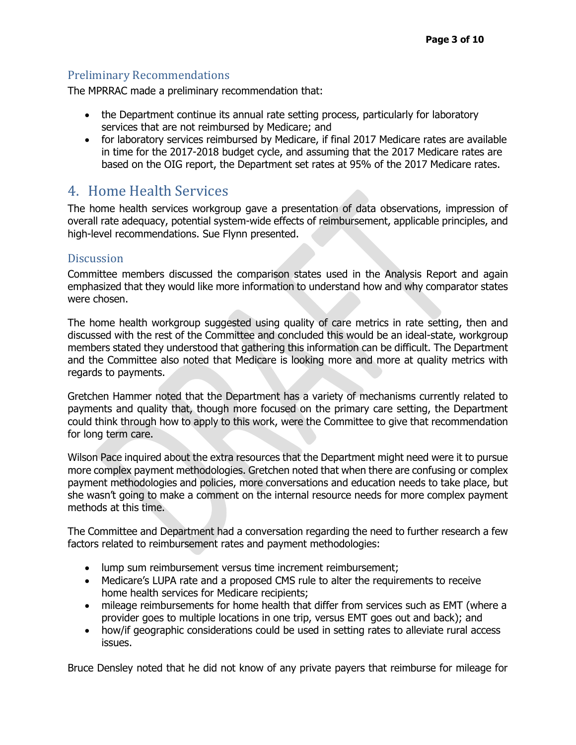### Preliminary Recommendations

The MPRRAC made a preliminary recommendation that:

- the Department continue its annual rate setting process, particularly for laboratory services that are not reimbursed by Medicare; and
- for laboratory services reimbursed by Medicare, if final 2017 Medicare rates are available in time for the 2017-2018 budget cycle, and assuming that the 2017 Medicare rates are based on the OIG report, the Department set rates at 95% of the 2017 Medicare rates.

## 4. Home Health Services

The home health services workgroup gave a presentation of data observations, impression of overall rate adequacy, potential system-wide effects of reimbursement, applicable principles, and high-level recommendations. Sue Flynn presented.

### **Discussion**

Committee members discussed the comparison states used in the Analysis Report and again emphasized that they would like more information to understand how and why comparator states were chosen.

The home health workgroup suggested using quality of care metrics in rate setting, then and discussed with the rest of the Committee and concluded this would be an ideal-state, workgroup members stated they understood that gathering this information can be difficult. The Department and the Committee also noted that Medicare is looking more and more at quality metrics with regards to payments.

Gretchen Hammer noted that the Department has a variety of mechanisms currently related to payments and quality that, though more focused on the primary care setting, the Department could think through how to apply to this work, were the Committee to give that recommendation for long term care.

Wilson Pace inquired about the extra resources that the Department might need were it to pursue more complex payment methodologies. Gretchen noted that when there are confusing or complex payment methodologies and policies, more conversations and education needs to take place, but she wasn't going to make a comment on the internal resource needs for more complex payment methods at this time.

The Committee and Department had a conversation regarding the need to further research a few factors related to reimbursement rates and payment methodologies:

- lump sum reimbursement versus time increment reimbursement;
- Medicare's LUPA rate and a proposed CMS rule to alter the requirements to receive home health services for Medicare recipients;
- mileage reimbursements for home health that differ from services such as EMT (where a provider goes to multiple locations in one trip, versus EMT goes out and back); and
- how/if geographic considerations could be used in setting rates to alleviate rural access issues.

Bruce Densley noted that he did not know of any private payers that reimburse for mileage for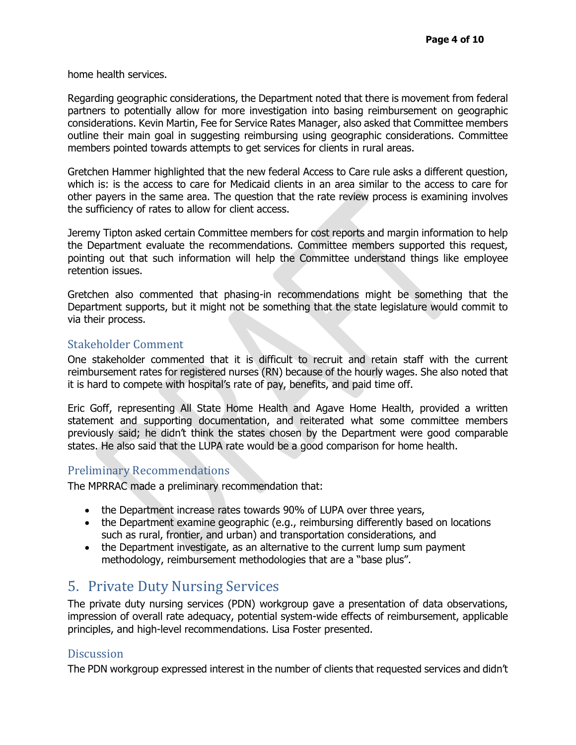home health services.

Regarding geographic considerations, the Department noted that there is movement from federal partners to potentially allow for more investigation into basing reimbursement on geographic considerations. Kevin Martin, Fee for Service Rates Manager, also asked that Committee members outline their main goal in suggesting reimbursing using geographic considerations. Committee members pointed towards attempts to get services for clients in rural areas.

Gretchen Hammer highlighted that the new federal Access to Care rule asks a different question, which is: is the access to care for Medicaid clients in an area similar to the access to care for other payers in the same area. The question that the rate review process is examining involves the sufficiency of rates to allow for client access.

Jeremy Tipton asked certain Committee members for cost reports and margin information to help the Department evaluate the recommendations. Committee members supported this request, pointing out that such information will help the Committee understand things like employee retention issues.

Gretchen also commented that phasing-in recommendations might be something that the Department supports, but it might not be something that the state legislature would commit to via their process.

#### Stakeholder Comment

One stakeholder commented that it is difficult to recruit and retain staff with the current reimbursement rates for registered nurses (RN) because of the hourly wages. She also noted that it is hard to compete with hospital's rate of pay, benefits, and paid time off.

Eric Goff, representing All State Home Health and Agave Home Health, provided a written statement and supporting documentation, and reiterated what some committee members previously said; he didn't think the states chosen by the Department were good comparable states. He also said that the LUPA rate would be a good comparison for home health.

#### Preliminary Recommendations

The MPRRAC made a preliminary recommendation that:

- the Department increase rates towards 90% of LUPA over three years,
- the Department examine geographic (e.g., reimbursing differently based on locations such as rural, frontier, and urban) and transportation considerations, and
- the Department investigate, as an alternative to the current lump sum payment methodology, reimbursement methodologies that are a "base plus".

# 5. Private Duty Nursing Services

The private duty nursing services (PDN) workgroup gave a presentation of data observations, impression of overall rate adequacy, potential system-wide effects of reimbursement, applicable principles, and high-level recommendations. Lisa Foster presented.

#### **Discussion**

The PDN workgroup expressed interest in the number of clients that requested services and didn't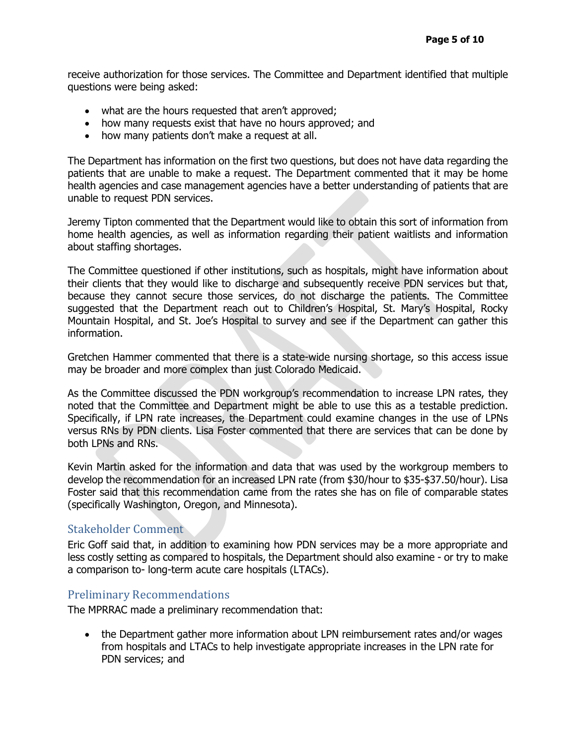receive authorization for those services. The Committee and Department identified that multiple questions were being asked:

- what are the hours requested that aren't approved;
- how many requests exist that have no hours approved; and
- how many patients don't make a request at all.

The Department has information on the first two questions, but does not have data regarding the patients that are unable to make a request. The Department commented that it may be home health agencies and case management agencies have a better understanding of patients that are unable to request PDN services.

Jeremy Tipton commented that the Department would like to obtain this sort of information from home health agencies, as well as information regarding their patient waitlists and information about staffing shortages.

The Committee questioned if other institutions, such as hospitals, might have information about their clients that they would like to discharge and subsequently receive PDN services but that, because they cannot secure those services, do not discharge the patients. The Committee suggested that the Department reach out to Children's Hospital, St. Mary's Hospital, Rocky Mountain Hospital, and St. Joe's Hospital to survey and see if the Department can gather this information.

Gretchen Hammer commented that there is a state-wide nursing shortage, so this access issue may be broader and more complex than just Colorado Medicaid.

As the Committee discussed the PDN workgroup's recommendation to increase LPN rates, they noted that the Committee and Department might be able to use this as a testable prediction. Specifically, if LPN rate increases, the Department could examine changes in the use of LPNs versus RNs by PDN clients. Lisa Foster commented that there are services that can be done by both LPNs and RNs.

Kevin Martin asked for the information and data that was used by the workgroup members to develop the recommendation for an increased LPN rate (from \$30/hour to \$35-\$37.50/hour). Lisa Foster said that this recommendation came from the rates she has on file of comparable states (specifically Washington, Oregon, and Minnesota).

#### Stakeholder Comment

Eric Goff said that, in addition to examining how PDN services may be a more appropriate and less costly setting as compared to hospitals, the Department should also examine - or try to make a comparison to- long-term acute care hospitals (LTACs).

#### Preliminary Recommendations

The MPRRAC made a preliminary recommendation that:

• the Department gather more information about LPN reimbursement rates and/or wages from hospitals and LTACs to help investigate appropriate increases in the LPN rate for PDN services; and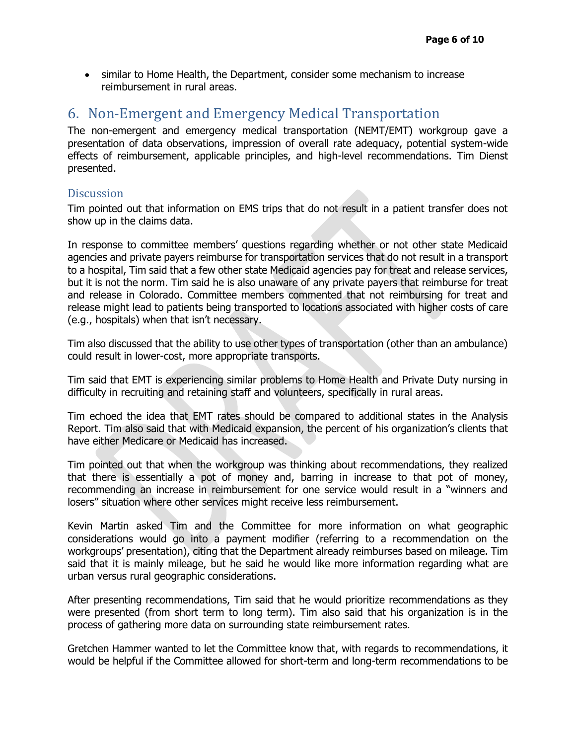similar to Home Health, the Department, consider some mechanism to increase reimbursement in rural areas.

## 6. Non-Emergent and Emergency Medical Transportation

The non-emergent and emergency medical transportation (NEMT/EMT) workgroup gave a presentation of data observations, impression of overall rate adequacy, potential system-wide effects of reimbursement, applicable principles, and high-level recommendations. Tim Dienst presented.

#### **Discussion**

Tim pointed out that information on EMS trips that do not result in a patient transfer does not show up in the claims data.

In response to committee members' questions regarding whether or not other state Medicaid agencies and private payers reimburse for transportation services that do not result in a transport to a hospital, Tim said that a few other state Medicaid agencies pay for treat and release services, but it is not the norm. Tim said he is also unaware of any private payers that reimburse for treat and release in Colorado. Committee members commented that not reimbursing for treat and release might lead to patients being transported to locations associated with higher costs of care (e.g., hospitals) when that isn't necessary.

Tim also discussed that the ability to use other types of transportation (other than an ambulance) could result in lower-cost, more appropriate transports.

Tim said that EMT is experiencing similar problems to Home Health and Private Duty nursing in difficulty in recruiting and retaining staff and volunteers, specifically in rural areas.

Tim echoed the idea that EMT rates should be compared to additional states in the Analysis Report. Tim also said that with Medicaid expansion, the percent of his organization's clients that have either Medicare or Medicaid has increased.

Tim pointed out that when the workgroup was thinking about recommendations, they realized that there is essentially a pot of money and, barring in increase to that pot of money, recommending an increase in reimbursement for one service would result in a "winners and losers" situation where other services might receive less reimbursement.

Kevin Martin asked Tim and the Committee for more information on what geographic considerations would go into a payment modifier (referring to a recommendation on the workgroups' presentation), citing that the Department already reimburses based on mileage. Tim said that it is mainly mileage, but he said he would like more information regarding what are urban versus rural geographic considerations.

After presenting recommendations, Tim said that he would prioritize recommendations as they were presented (from short term to long term). Tim also said that his organization is in the process of gathering more data on surrounding state reimbursement rates.

Gretchen Hammer wanted to let the Committee know that, with regards to recommendations, it would be helpful if the Committee allowed for short-term and long-term recommendations to be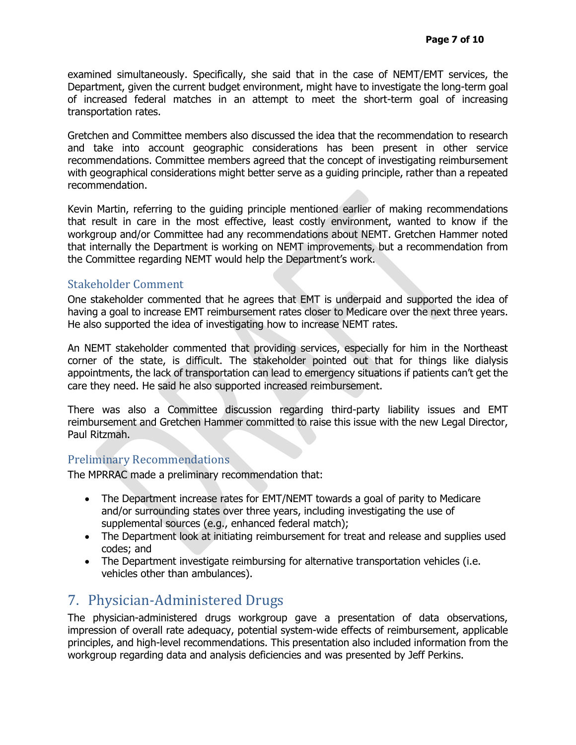examined simultaneously. Specifically, she said that in the case of NEMT/EMT services, the Department, given the current budget environment, might have to investigate the long-term goal of increased federal matches in an attempt to meet the short-term goal of increasing transportation rates.

Gretchen and Committee members also discussed the idea that the recommendation to research and take into account geographic considerations has been present in other service recommendations. Committee members agreed that the concept of investigating reimbursement with geographical considerations might better serve as a guiding principle, rather than a repeated recommendation.

Kevin Martin, referring to the guiding principle mentioned earlier of making recommendations that result in care in the most effective, least costly environment, wanted to know if the workgroup and/or Committee had any recommendations about NEMT. Gretchen Hammer noted that internally the Department is working on NEMT improvements, but a recommendation from the Committee regarding NEMT would help the Department's work.

#### Stakeholder Comment

One stakeholder commented that he agrees that EMT is underpaid and supported the idea of having a goal to increase EMT reimbursement rates closer to Medicare over the next three years. He also supported the idea of investigating how to increase NEMT rates.

An NEMT stakeholder commented that providing services, especially for him in the Northeast corner of the state, is difficult. The stakeholder pointed out that for things like dialysis appointments, the lack of transportation can lead to emergency situations if patients can't get the care they need. He said he also supported increased reimbursement.

There was also a Committee discussion regarding third-party liability issues and EMT reimbursement and Gretchen Hammer committed to raise this issue with the new Legal Director, Paul Ritzmah.

### Preliminary Recommendations

The MPRRAC made a preliminary recommendation that:

- The Department increase rates for EMT/NEMT towards a goal of parity to Medicare and/or surrounding states over three years, including investigating the use of supplemental sources (e.g., enhanced federal match);
- The Department look at initiating reimbursement for treat and release and supplies used codes; and
- The Department investigate reimbursing for alternative transportation vehicles (i.e. vehicles other than ambulances).

# 7. Physician-Administered Drugs

The physician-administered drugs workgroup gave a presentation of data observations, impression of overall rate adequacy, potential system-wide effects of reimbursement, applicable principles, and high-level recommendations. This presentation also included information from the workgroup regarding data and analysis deficiencies and was presented by Jeff Perkins.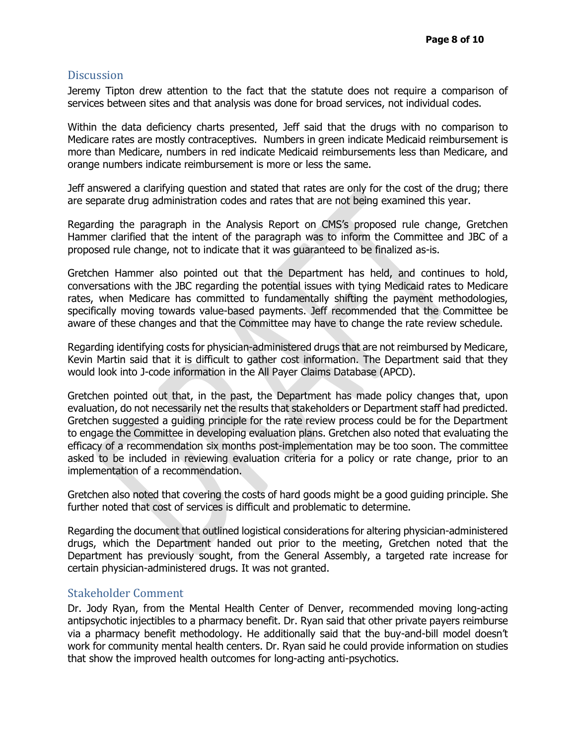#### **Discussion**

Jeremy Tipton drew attention to the fact that the statute does not require a comparison of services between sites and that analysis was done for broad services, not individual codes.

Within the data deficiency charts presented, Jeff said that the drugs with no comparison to Medicare rates are mostly contraceptives. Numbers in green indicate Medicaid reimbursement is more than Medicare, numbers in red indicate Medicaid reimbursements less than Medicare, and orange numbers indicate reimbursement is more or less the same.

Jeff answered a clarifying question and stated that rates are only for the cost of the drug; there are separate drug administration codes and rates that are not being examined this year.

Regarding the paragraph in the Analysis Report on CMS's proposed rule change, Gretchen Hammer clarified that the intent of the paragraph was to inform the Committee and JBC of a proposed rule change, not to indicate that it was guaranteed to be finalized as-is.

Gretchen Hammer also pointed out that the Department has held, and continues to hold, conversations with the JBC regarding the potential issues with tying Medicaid rates to Medicare rates, when Medicare has committed to fundamentally shifting the payment methodologies, specifically moving towards value-based payments. Jeff recommended that the Committee be aware of these changes and that the Committee may have to change the rate review schedule.

Regarding identifying costs for physician-administered drugs that are not reimbursed by Medicare, Kevin Martin said that it is difficult to gather cost information. The Department said that they would look into J-code information in the All Payer Claims Database (APCD).

Gretchen pointed out that, in the past, the Department has made policy changes that, upon evaluation, do not necessarily net the results that stakeholders or Department staff had predicted. Gretchen suggested a guiding principle for the rate review process could be for the Department to engage the Committee in developing evaluation plans. Gretchen also noted that evaluating the efficacy of a recommendation six months post-implementation may be too soon. The committee asked to be included in reviewing evaluation criteria for a policy or rate change, prior to an implementation of a recommendation.

Gretchen also noted that covering the costs of hard goods might be a good guiding principle. She further noted that cost of services is difficult and problematic to determine.

Regarding the document that outlined logistical considerations for altering physician-administered drugs, which the Department handed out prior to the meeting, Gretchen noted that the Department has previously sought, from the General Assembly, a targeted rate increase for certain physician-administered drugs. It was not granted.

#### Stakeholder Comment

Dr. Jody Ryan, from the Mental Health Center of Denver, recommended moving long-acting antipsychotic injectibles to a pharmacy benefit. Dr. Ryan said that other private payers reimburse via a pharmacy benefit methodology. He additionally said that the buy-and-bill model doesn't work for community mental health centers. Dr. Ryan said he could provide information on studies that show the improved health outcomes for long-acting anti-psychotics.